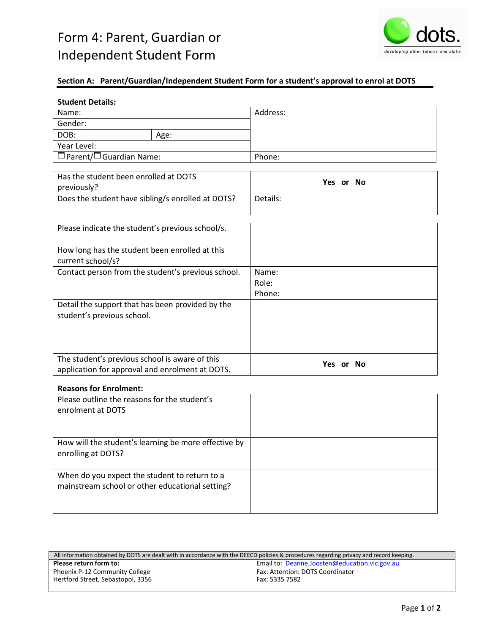## Form 4: Parent, Guardian or Independent Student Form



## **Section A: Parent/Guardian/Independent Student Form for a student's approval to enrol at DOTS**

| <b>Student Details:</b>                              |      |           |           |  |
|------------------------------------------------------|------|-----------|-----------|--|
| Name:                                                |      | Address:  |           |  |
| Gender:                                              |      |           |           |  |
| DOB:                                                 | Age: |           |           |  |
| Year Level:                                          |      |           |           |  |
| $\Box$ Parent/ $\Box$ Guardian Name:                 |      | Phone:    |           |  |
|                                                      |      |           |           |  |
| Has the student been enrolled at DOTS                |      |           | Yes or No |  |
| previously?                                          |      |           |           |  |
| Does the student have sibling/s enrolled at DOTS?    |      | Details:  |           |  |
|                                                      |      |           |           |  |
| Please indicate the student's previous school/s.     |      |           |           |  |
| How long has the student been enrolled at this       |      |           |           |  |
| current school/s?                                    |      |           |           |  |
| Contact person from the student's previous school.   |      | Name:     |           |  |
|                                                      |      | Role:     |           |  |
|                                                      |      | Phone:    |           |  |
| Detail the support that has been provided by the     |      |           |           |  |
| student's previous school.                           |      |           |           |  |
|                                                      |      |           |           |  |
|                                                      |      |           |           |  |
|                                                      |      |           |           |  |
| The student's previous school is aware of this       |      | Yes or No |           |  |
| application for approval and enrolment at DOTS.      |      |           |           |  |
| <b>Reasons for Enrolment:</b>                        |      |           |           |  |
| Please outline the reasons for the student's         |      |           |           |  |
| enrolment at DOTS                                    |      |           |           |  |
|                                                      |      |           |           |  |
|                                                      |      |           |           |  |
| How will the student's learning be more effective by |      |           |           |  |
| enrolling at DOTS?                                   |      |           |           |  |
|                                                      |      |           |           |  |
| When do you expect the student to return to a        |      |           |           |  |
| mainstream school or other educational setting?      |      |           |           |  |
|                                                      |      |           |           |  |
|                                                      |      |           |           |  |
|                                                      |      |           |           |  |

| All information obtained by DOTS are dealt with in accordance with the DEECD policies & procedures regarding privacy and record keeping. |                                               |  |
|------------------------------------------------------------------------------------------------------------------------------------------|-----------------------------------------------|--|
| Please return form to:                                                                                                                   | Email to: Deanne.Joosten@education.vic.gov.au |  |
| Phoenix P-12 Community College                                                                                                           | Fax: Attention: DOTS Coordinator              |  |
| Hertford Street, Sebastopol, 3356                                                                                                        | Fax: 5335 7582                                |  |
|                                                                                                                                          |                                               |  |